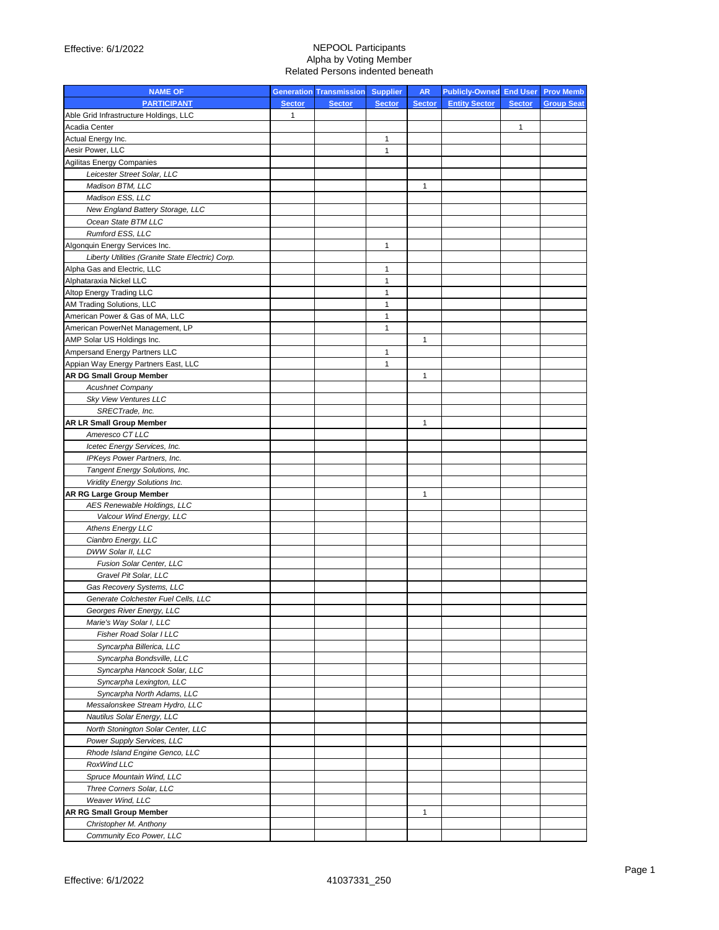| <b>NAME OF</b>                                   |               | <b>Generation Transmission Supplier</b> |               | <b>AR</b>     | <b>Publicly-Owned End User Prov Memb</b> |               |                   |
|--------------------------------------------------|---------------|-----------------------------------------|---------------|---------------|------------------------------------------|---------------|-------------------|
| <b>PARTICIPANT</b>                               | <b>Sector</b> | <b>Sector</b>                           | <b>Sector</b> | <b>Sector</b> | <b>Entity Sector</b>                     | <b>Sector</b> | <b>Group Seat</b> |
| Able Grid Infrastructure Holdings, LLC           | $\mathbf{1}$  |                                         |               |               |                                          |               |                   |
| Acadia Center                                    |               |                                         |               |               |                                          | 1             |                   |
| Actual Energy Inc.                               |               |                                         | 1             |               |                                          |               |                   |
| Aesir Power, LLC                                 |               |                                         | $\mathbf{1}$  |               |                                          |               |                   |
| <b>Agilitas Energy Companies</b>                 |               |                                         |               |               |                                          |               |                   |
| Leicester Street Solar, LLC                      |               |                                         |               |               |                                          |               |                   |
| Madison BTM, LLC                                 |               |                                         |               | 1             |                                          |               |                   |
| Madison ESS, LLC                                 |               |                                         |               |               |                                          |               |                   |
| New England Battery Storage, LLC                 |               |                                         |               |               |                                          |               |                   |
| Ocean State BTM LLC                              |               |                                         |               |               |                                          |               |                   |
| Rumford ESS, LLC                                 |               |                                         |               |               |                                          |               |                   |
| Algonquin Energy Services Inc.                   |               |                                         | 1             |               |                                          |               |                   |
| Liberty Utilities (Granite State Electric) Corp. |               |                                         |               |               |                                          |               |                   |
| Alpha Gas and Electric, LLC                      |               |                                         | $\mathbf{1}$  |               |                                          |               |                   |
| Alphataraxia Nickel LLC                          |               |                                         | $\mathbf{1}$  |               |                                          |               |                   |
| Altop Energy Trading LLC                         |               |                                         | $\mathbf{1}$  |               |                                          |               |                   |
| AM Trading Solutions, LLC                        |               |                                         | $\mathbf{1}$  |               |                                          |               |                   |
| American Power & Gas of MA, LLC                  |               |                                         | $\mathbf{1}$  |               |                                          |               |                   |
| American PowerNet Management, LP                 |               |                                         | $\mathbf{1}$  |               |                                          |               |                   |
| AMP Solar US Holdings Inc.                       |               |                                         |               | 1             |                                          |               |                   |
| Ampersand Energy Partners LLC                    |               |                                         | 1             |               |                                          |               |                   |
| Appian Way Energy Partners East, LLC             |               |                                         | $\mathbf{1}$  |               |                                          |               |                   |
| <b>AR DG Small Group Member</b>                  |               |                                         |               | 1             |                                          |               |                   |
| <b>Acushnet Company</b>                          |               |                                         |               |               |                                          |               |                   |
| Sky View Ventures LLC                            |               |                                         |               |               |                                          |               |                   |
| SRECTrade, Inc.                                  |               |                                         |               |               |                                          |               |                   |
| <b>AR LR Small Group Member</b>                  |               |                                         |               | 1             |                                          |               |                   |
| Ameresco CT LLC                                  |               |                                         |               |               |                                          |               |                   |
| Icetec Energy Services, Inc.                     |               |                                         |               |               |                                          |               |                   |
| IPKeys Power Partners, Inc.                      |               |                                         |               |               |                                          |               |                   |
| Tangent Energy Solutions, Inc.                   |               |                                         |               |               |                                          |               |                   |
| Viridity Energy Solutions Inc.                   |               |                                         |               |               |                                          |               |                   |
| <b>AR RG Large Group Member</b>                  |               |                                         |               | 1             |                                          |               |                   |
| AES Renewable Holdings, LLC                      |               |                                         |               |               |                                          |               |                   |
| Valcour Wind Energy, LLC                         |               |                                         |               |               |                                          |               |                   |
| <b>Athens Energy LLC</b>                         |               |                                         |               |               |                                          |               |                   |
| Cianbro Energy, LLC                              |               |                                         |               |               |                                          |               |                   |
| DWW Solar II, LLC                                |               |                                         |               |               |                                          |               |                   |
| Fusion Solar Center, LLC                         |               |                                         |               |               |                                          |               |                   |
| Gravel Pit Solar, LLC                            |               |                                         |               |               |                                          |               |                   |
| Gas Recovery Systems, LLC                        |               |                                         |               |               |                                          |               |                   |
| Generate Colchester Fuel Cells, LLC              |               |                                         |               |               |                                          |               |                   |
| Georges River Energy, LLC                        |               |                                         |               |               |                                          |               |                   |
| Marie's Way Solar I, LLC                         |               |                                         |               |               |                                          |               |                   |
| Fisher Road Solar I LLC                          |               |                                         |               |               |                                          |               |                   |
| Syncarpha Billerica, LLC                         |               |                                         |               |               |                                          |               |                   |
| Syncarpha Bondsville, LLC                        |               |                                         |               |               |                                          |               |                   |
| Syncarpha Hancock Solar, LLC                     |               |                                         |               |               |                                          |               |                   |
| Syncarpha Lexington, LLC                         |               |                                         |               |               |                                          |               |                   |
| Syncarpha North Adams, LLC                       |               |                                         |               |               |                                          |               |                   |
| Messalonskee Stream Hydro, LLC                   |               |                                         |               |               |                                          |               |                   |
| Nautilus Solar Energy, LLC                       |               |                                         |               |               |                                          |               |                   |
| North Stonington Solar Center, LLC               |               |                                         |               |               |                                          |               |                   |
| Power Supply Services, LLC                       |               |                                         |               |               |                                          |               |                   |
| Rhode Island Engine Genco, LLC                   |               |                                         |               |               |                                          |               |                   |
| RoxWind LLC                                      |               |                                         |               |               |                                          |               |                   |
| Spruce Mountain Wind, LLC                        |               |                                         |               |               |                                          |               |                   |
| Three Corners Solar, LLC                         |               |                                         |               |               |                                          |               |                   |
| Weaver Wind, LLC                                 |               |                                         |               |               |                                          |               |                   |
| <b>AR RG Small Group Member</b>                  |               |                                         |               | $\mathbf{1}$  |                                          |               |                   |
| Christopher M. Anthony                           |               |                                         |               |               |                                          |               |                   |
| Community Eco Power, LLC                         |               |                                         |               |               |                                          |               |                   |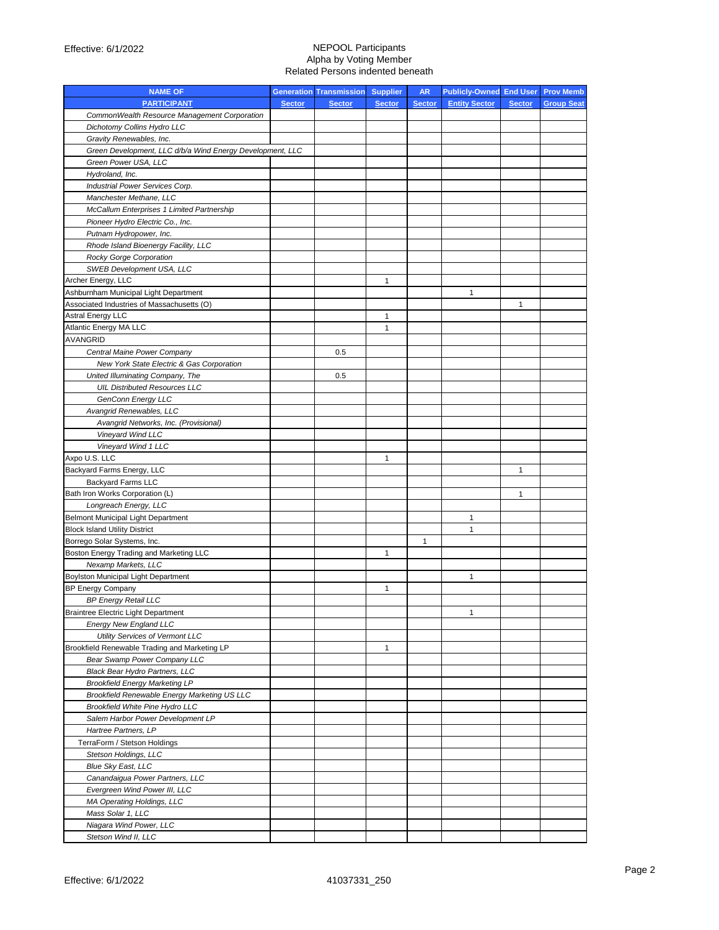| <b>NAME OF</b>                                            |               | <b>Generation Transmission Supplier</b> |               | <b>AR</b>     | Publicly-Owned End User Prov Memb |               |                   |
|-----------------------------------------------------------|---------------|-----------------------------------------|---------------|---------------|-----------------------------------|---------------|-------------------|
| <b>PARTICIPANT</b>                                        | <b>Sector</b> | <b>Sector</b>                           | <b>Sector</b> | <b>Sector</b> | <b>Entity Sector</b>              | <b>Sector</b> | <b>Group Seat</b> |
| CommonWealth Resource Management Corporation              |               |                                         |               |               |                                   |               |                   |
| Dichotomy Collins Hydro LLC                               |               |                                         |               |               |                                   |               |                   |
| Gravity Renewables, Inc.                                  |               |                                         |               |               |                                   |               |                   |
| Green Development, LLC d/b/a Wind Energy Development, LLC |               |                                         |               |               |                                   |               |                   |
| Green Power USA, LLC                                      |               |                                         |               |               |                                   |               |                   |
| Hydroland, Inc.                                           |               |                                         |               |               |                                   |               |                   |
| Industrial Power Services Corp.                           |               |                                         |               |               |                                   |               |                   |
| Manchester Methane, LLC                                   |               |                                         |               |               |                                   |               |                   |
| McCallum Enterprises 1 Limited Partnership                |               |                                         |               |               |                                   |               |                   |
| Pioneer Hydro Electric Co., Inc.                          |               |                                         |               |               |                                   |               |                   |
| Putnam Hydropower, Inc.                                   |               |                                         |               |               |                                   |               |                   |
| Rhode Island Bioenergy Facility, LLC                      |               |                                         |               |               |                                   |               |                   |
| Rocky Gorge Corporation                                   |               |                                         |               |               |                                   |               |                   |
| SWEB Development USA, LLC                                 |               |                                         |               |               |                                   |               |                   |
| Archer Energy, LLC                                        |               |                                         | 1             |               |                                   |               |                   |
| Ashburnham Municipal Light Department                     |               |                                         |               |               | $\mathbf{1}$                      |               |                   |
| Associated Industries of Massachusetts (O)                |               |                                         |               |               |                                   | 1             |                   |
| <b>Astral Energy LLC</b>                                  |               |                                         | 1             |               |                                   |               |                   |
| Atlantic Energy MA LLC                                    |               |                                         | 1             |               |                                   |               |                   |
| <b>AVANGRID</b>                                           |               |                                         |               |               |                                   |               |                   |
| Central Maine Power Company                               |               | 0.5                                     |               |               |                                   |               |                   |
| New York State Electric & Gas Corporation                 |               |                                         |               |               |                                   |               |                   |
| United Illuminating Company, The                          |               | 0.5                                     |               |               |                                   |               |                   |
| <b>UIL Distributed Resources LLC</b>                      |               |                                         |               |               |                                   |               |                   |
| <b>GenConn Energy LLC</b>                                 |               |                                         |               |               |                                   |               |                   |
| Avangrid Renewables, LLC                                  |               |                                         |               |               |                                   |               |                   |
| Avangrid Networks, Inc. (Provisional)                     |               |                                         |               |               |                                   |               |                   |
| Vineyard Wind LLC                                         |               |                                         |               |               |                                   |               |                   |
| Vineyard Wind 1 LLC                                       |               |                                         |               |               |                                   |               |                   |
| Axpo U.S. LLC                                             |               |                                         | $\mathbf{1}$  |               |                                   |               |                   |
| Backyard Farms Energy, LLC                                |               |                                         |               |               |                                   | $\mathbf{1}$  |                   |
| <b>Backyard Farms LLC</b>                                 |               |                                         |               |               |                                   |               |                   |
| Bath Iron Works Corporation (L)                           |               |                                         |               |               |                                   | 1             |                   |
| Longreach Energy, LLC                                     |               |                                         |               |               |                                   |               |                   |
| <b>Belmont Municipal Light Department</b>                 |               |                                         |               |               | 1                                 |               |                   |
| <b>Block Island Utility District</b>                      |               |                                         |               |               | 1                                 |               |                   |
| Borrego Solar Systems, Inc.                               |               |                                         |               | 1             |                                   |               |                   |
| Boston Energy Trading and Marketing LLC                   |               |                                         | $\mathbf{1}$  |               |                                   |               |                   |
| Nexamp Markets, LLC                                       |               |                                         |               |               |                                   |               |                   |
| Boylston Municipal Light Department                       |               |                                         |               |               | 1                                 |               |                   |
| <b>BP Energy Company</b>                                  |               |                                         | $\mathbf{1}$  |               |                                   |               |                   |
| <b>BP Energy Retail LLC</b>                               |               |                                         |               |               |                                   |               |                   |
| <b>Braintree Electric Light Department</b>                |               |                                         |               |               |                                   |               |                   |
| <b>Energy New England LLC</b>                             |               |                                         |               |               |                                   |               |                   |
| Utility Services of Vermont LLC                           |               |                                         |               |               |                                   |               |                   |
| Brookfield Renewable Trading and Marketing LP             |               |                                         | $\mathbf{1}$  |               |                                   |               |                   |
| Bear Swamp Power Company LLC                              |               |                                         |               |               |                                   |               |                   |
| Black Bear Hydro Partners, LLC                            |               |                                         |               |               |                                   |               |                   |
| <b>Brookfield Energy Marketing LP</b>                     |               |                                         |               |               |                                   |               |                   |
| Brookfield Renewable Energy Marketing US LLC              |               |                                         |               |               |                                   |               |                   |
| Brookfield White Pine Hydro LLC                           |               |                                         |               |               |                                   |               |                   |
| Salem Harbor Power Development LP                         |               |                                         |               |               |                                   |               |                   |
| Hartree Partners, LP                                      |               |                                         |               |               |                                   |               |                   |
| TerraForm / Stetson Holdings                              |               |                                         |               |               |                                   |               |                   |
| Stetson Holdings, LLC                                     |               |                                         |               |               |                                   |               |                   |
| <b>Blue Sky East, LLC</b>                                 |               |                                         |               |               |                                   |               |                   |
| Canandaigua Power Partners, LLC                           |               |                                         |               |               |                                   |               |                   |
| Evergreen Wind Power III, LLC                             |               |                                         |               |               |                                   |               |                   |
| MA Operating Holdings, LLC                                |               |                                         |               |               |                                   |               |                   |
| Mass Solar 1, LLC                                         |               |                                         |               |               |                                   |               |                   |
| Niagara Wind Power, LLC                                   |               |                                         |               |               |                                   |               |                   |
| Stetson Wind II, LLC                                      |               |                                         |               |               |                                   |               |                   |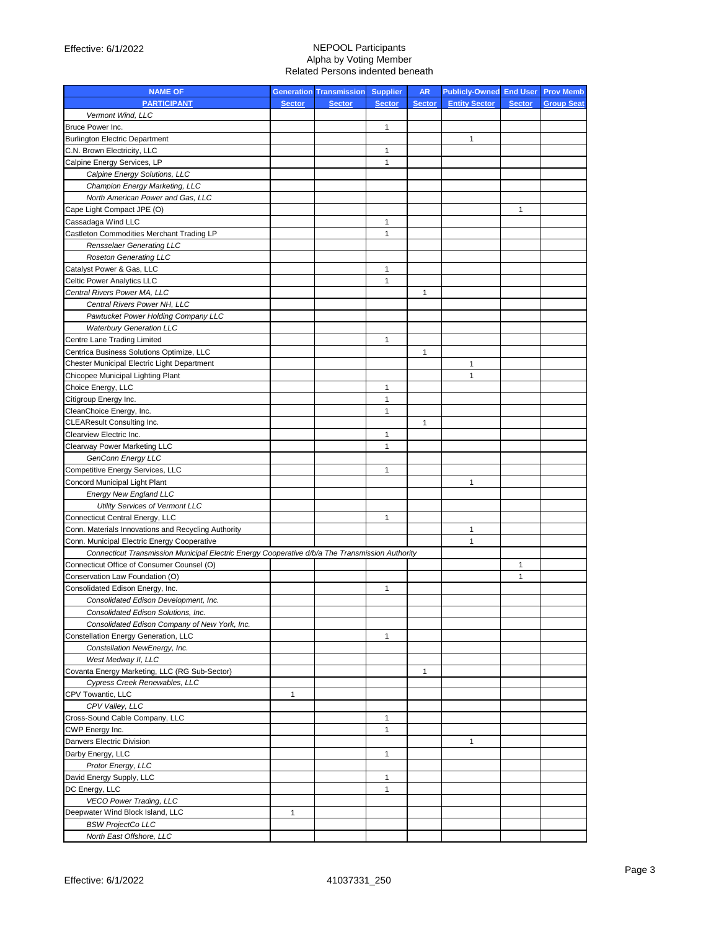| <b>NAME OF</b>                                                                                  |               | <b>Generation Transmission Supplier</b> |               | <b>AR</b>     | <b>Publicly-Owned End User Prov Memb</b> |               |                   |
|-------------------------------------------------------------------------------------------------|---------------|-----------------------------------------|---------------|---------------|------------------------------------------|---------------|-------------------|
| <b>PARTICIPANT</b>                                                                              | <b>Sector</b> | <b>Sector</b>                           | <b>Sector</b> | <b>Sector</b> | <b>Entity Sector</b>                     | <b>Sector</b> | <b>Group Seat</b> |
| Vermont Wind, LLC                                                                               |               |                                         |               |               |                                          |               |                   |
| Bruce Power Inc.                                                                                |               |                                         | 1             |               |                                          |               |                   |
| <b>Burlington Electric Department</b>                                                           |               |                                         |               |               | 1                                        |               |                   |
| C.N. Brown Electricity, LLC                                                                     |               |                                         | 1             |               |                                          |               |                   |
| Calpine Energy Services, LP                                                                     |               |                                         | 1             |               |                                          |               |                   |
| Calpine Energy Solutions, LLC                                                                   |               |                                         |               |               |                                          |               |                   |
| Champion Energy Marketing, LLC                                                                  |               |                                         |               |               |                                          |               |                   |
| North American Power and Gas, LLC                                                               |               |                                         |               |               |                                          |               |                   |
| Cape Light Compact JPE (O)                                                                      |               |                                         |               |               |                                          | 1             |                   |
| Cassadaga Wind LLC                                                                              |               |                                         | 1             |               |                                          |               |                   |
| Castleton Commodities Merchant Trading LP                                                       |               |                                         | 1             |               |                                          |               |                   |
| <b>Rensselaer Generating LLC</b>                                                                |               |                                         |               |               |                                          |               |                   |
| <b>Roseton Generating LLC</b>                                                                   |               |                                         |               |               |                                          |               |                   |
| Catalyst Power & Gas, LLC                                                                       |               |                                         | 1             |               |                                          |               |                   |
| Celtic Power Analytics LLC                                                                      |               |                                         | 1             |               |                                          |               |                   |
| Central Rivers Power MA, LLC                                                                    |               |                                         |               | 1             |                                          |               |                   |
| Central Rivers Power NH, LLC                                                                    |               |                                         |               |               |                                          |               |                   |
| Pawtucket Power Holding Company LLC                                                             |               |                                         |               |               |                                          |               |                   |
| <b>Waterbury Generation LLC</b>                                                                 |               |                                         |               |               |                                          |               |                   |
| Centre Lane Trading Limited                                                                     |               |                                         | 1             |               |                                          |               |                   |
| Centrica Business Solutions Optimize, LLC                                                       |               |                                         |               | 1             |                                          |               |                   |
| Chester Municipal Electric Light Department                                                     |               |                                         |               |               | $\mathbf{1}$                             |               |                   |
| Chicopee Municipal Lighting Plant                                                               |               |                                         |               |               | 1                                        |               |                   |
| Choice Energy, LLC                                                                              |               |                                         | 1             |               |                                          |               |                   |
| Citigroup Energy Inc.                                                                           |               |                                         | 1             |               |                                          |               |                   |
| CleanChoice Energy, Inc.                                                                        |               |                                         | $\mathbf{1}$  |               |                                          |               |                   |
| <b>CLEAResult Consulting Inc.</b>                                                               |               |                                         |               | 1             |                                          |               |                   |
| Clearview Electric Inc.                                                                         |               |                                         | $\mathbf{1}$  |               |                                          |               |                   |
| Clearway Power Marketing LLC                                                                    |               |                                         | $\mathbf{1}$  |               |                                          |               |                   |
| GenConn Energy LLC                                                                              |               |                                         |               |               |                                          |               |                   |
| Competitive Energy Services, LLC                                                                |               |                                         | $\mathbf{1}$  |               |                                          |               |                   |
| Concord Municipal Light Plant                                                                   |               |                                         |               |               | 1                                        |               |                   |
| <b>Energy New England LLC</b>                                                                   |               |                                         |               |               |                                          |               |                   |
| Utility Services of Vermont LLC                                                                 |               |                                         |               |               |                                          |               |                   |
| Connecticut Central Energy, LLC                                                                 |               |                                         | $\mathbf{1}$  |               |                                          |               |                   |
| Conn. Materials Innovations and Recycling Authority                                             |               |                                         |               |               | 1                                        |               |                   |
| Conn. Municipal Electric Energy Cooperative                                                     |               |                                         |               |               | 1                                        |               |                   |
| Connecticut Transmission Municipal Electric Energy Cooperative d/b/a The Transmission Authority |               |                                         |               |               |                                          |               |                   |
| Connecticut Office of Consumer Counsel (O)                                                      |               |                                         |               |               |                                          | 1             |                   |
| Conservation Law Foundation (O)                                                                 |               |                                         |               |               |                                          | 1             |                   |
| Consolidated Edison Energy, Inc.                                                                |               |                                         | $\mathbf{1}$  |               |                                          |               |                   |
| Consolidated Edison Development, Inc.                                                           |               |                                         |               |               |                                          |               |                   |
| Consolidated Edison Solutions, Inc.                                                             |               |                                         |               |               |                                          |               |                   |
| Consolidated Edison Company of New York, Inc.                                                   |               |                                         |               |               |                                          |               |                   |
| <b>Constellation Energy Generation, LLC</b>                                                     |               |                                         | $\mathbf{1}$  |               |                                          |               |                   |
| Constellation NewEnergy, Inc.                                                                   |               |                                         |               |               |                                          |               |                   |
| West Medway II, LLC                                                                             |               |                                         |               |               |                                          |               |                   |
| Covanta Energy Marketing, LLC (RG Sub-Sector)                                                   |               |                                         |               | 1             |                                          |               |                   |
| Cypress Creek Renewables, LLC                                                                   |               |                                         |               |               |                                          |               |                   |
| CPV Towantic, LLC                                                                               | 1             |                                         |               |               |                                          |               |                   |
| CPV Valley, LLC                                                                                 |               |                                         |               |               |                                          |               |                   |
| Cross-Sound Cable Company, LLC                                                                  |               |                                         | 1             |               |                                          |               |                   |
| CWP Energy Inc.                                                                                 |               |                                         | $\mathbf{1}$  |               |                                          |               |                   |
| Danvers Electric Division                                                                       |               |                                         |               |               | 1                                        |               |                   |
| Darby Energy, LLC                                                                               |               |                                         | $\mathbf{1}$  |               |                                          |               |                   |
| Protor Energy, LLC                                                                              |               |                                         |               |               |                                          |               |                   |
| David Energy Supply, LLC                                                                        |               |                                         | 1             |               |                                          |               |                   |
| DC Energy, LLC                                                                                  |               |                                         | 1             |               |                                          |               |                   |
| <b>VECO Power Trading, LLC</b>                                                                  |               |                                         |               |               |                                          |               |                   |
| Deepwater Wind Block Island, LLC                                                                | 1             |                                         |               |               |                                          |               |                   |
| <b>BSW ProjectCo LLC</b>                                                                        |               |                                         |               |               |                                          |               |                   |
| North East Offshore, LLC                                                                        |               |                                         |               |               |                                          |               |                   |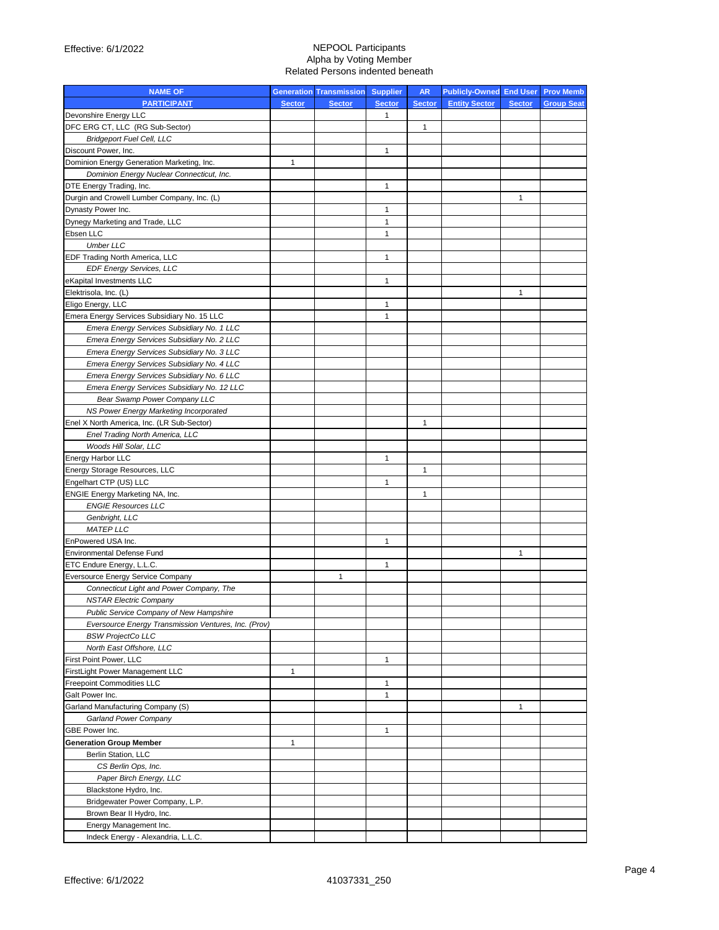| <b>NAME OF</b>                                       |               | <b>Generation Transmission</b> | <b>Supplier</b> | <b>AR</b>     | <b>Publicly-Owned End User</b> |               | <b>Prov Memb</b> |
|------------------------------------------------------|---------------|--------------------------------|-----------------|---------------|--------------------------------|---------------|------------------|
| <b>PARTICIPANT</b>                                   | <b>Sector</b> | <b>Sector</b>                  | <b>Sector</b>   | <b>Sector</b> | <b>Entity Sector</b>           | <b>Sector</b> | <b>Group Sea</b> |
| Devonshire Energy LLC                                |               |                                | $\mathbf{1}$    |               |                                |               |                  |
| DFC ERG CT, LLC (RG Sub-Sector)                      |               |                                |                 | $\mathbf{1}$  |                                |               |                  |
| <b>Bridgeport Fuel Cell, LLC</b>                     |               |                                |                 |               |                                |               |                  |
| Discount Power, Inc.                                 |               |                                | 1               |               |                                |               |                  |
| Dominion Energy Generation Marketing, Inc.           | $\mathbf{1}$  |                                |                 |               |                                |               |                  |
| Dominion Energy Nuclear Connecticut, Inc.            |               |                                |                 |               |                                |               |                  |
| DTE Energy Trading, Inc.                             |               |                                | 1               |               |                                |               |                  |
| Durgin and Crowell Lumber Company, Inc. (L)          |               |                                |                 |               |                                | $\mathbf{1}$  |                  |
| Dynasty Power Inc.                                   |               |                                | 1               |               |                                |               |                  |
| Dynegy Marketing and Trade, LLC                      |               |                                | $\mathbf{1}$    |               |                                |               |                  |
| Ebsen LLC                                            |               |                                | 1               |               |                                |               |                  |
| <b>Umber LLC</b>                                     |               |                                |                 |               |                                |               |                  |
| EDF Trading North America, LLC                       |               |                                | $\mathbf{1}$    |               |                                |               |                  |
| <b>EDF Energy Services, LLC</b>                      |               |                                |                 |               |                                |               |                  |
| eKapital Investments LLC                             |               |                                | 1               |               |                                |               |                  |
| Elektrisola, Inc. (L)                                |               |                                |                 |               |                                | $\mathbf{1}$  |                  |
| Eligo Energy, LLC                                    |               |                                | 1               |               |                                |               |                  |
| Emera Energy Services Subsidiary No. 15 LLC          |               |                                | 1               |               |                                |               |                  |
| Emera Energy Services Subsidiary No. 1 LLC           |               |                                |                 |               |                                |               |                  |
| Emera Energy Services Subsidiary No. 2 LLC           |               |                                |                 |               |                                |               |                  |
| Emera Energy Services Subsidiary No. 3 LLC           |               |                                |                 |               |                                |               |                  |
| Emera Energy Services Subsidiary No. 4 LLC           |               |                                |                 |               |                                |               |                  |
| Emera Energy Services Subsidiary No. 6 LLC           |               |                                |                 |               |                                |               |                  |
| Emera Energy Services Subsidiary No. 12 LLC          |               |                                |                 |               |                                |               |                  |
| Bear Swamp Power Company LLC                         |               |                                |                 |               |                                |               |                  |
| NS Power Energy Marketing Incorporated               |               |                                |                 |               |                                |               |                  |
| Enel X North America, Inc. (LR Sub-Sector)           |               |                                |                 | 1             |                                |               |                  |
| Enel Trading North America, LLC                      |               |                                |                 |               |                                |               |                  |
| Woods Hill Solar, LLC                                |               |                                |                 |               |                                |               |                  |
| Energy Harbor LLC                                    |               |                                | 1               |               |                                |               |                  |
| Energy Storage Resources, LLC                        |               |                                |                 | 1             |                                |               |                  |
| Engelhart CTP (US) LLC                               |               |                                | 1               |               |                                |               |                  |
| ENGIE Energy Marketing NA, Inc.                      |               |                                |                 | $\mathbf{1}$  |                                |               |                  |
| <b>ENGIE Resources LLC</b>                           |               |                                |                 |               |                                |               |                  |
| Genbright, LLC                                       |               |                                |                 |               |                                |               |                  |
| <b>MATEP LLC</b>                                     |               |                                |                 |               |                                |               |                  |
| EnPowered USA Inc.                                   |               |                                | 1               |               |                                |               |                  |
| <b>Environmental Defense Fund</b>                    |               |                                |                 |               |                                | 1             |                  |
| ETC Endure Energy, L.L.C.                            |               |                                | 1               |               |                                |               |                  |
| Eversource Energy Service Company                    |               | 1                              |                 |               |                                |               |                  |
| Connecticut Light and Power Company, The             |               |                                |                 |               |                                |               |                  |
| <b>NSTAR Electric Company</b>                        |               |                                |                 |               |                                |               |                  |
| Public Service Company of New Hampshire              |               |                                |                 |               |                                |               |                  |
| Eversource Energy Transmission Ventures, Inc. (Prov) |               |                                |                 |               |                                |               |                  |
| <b>BSW ProjectCo LLC</b>                             |               |                                |                 |               |                                |               |                  |
| North East Offshore, LLC                             |               |                                |                 |               |                                |               |                  |
| First Point Power, LLC                               |               |                                | 1               |               |                                |               |                  |
| FirstLight Power Management LLC                      | 1             |                                |                 |               |                                |               |                  |
| <b>Freepoint Commodities LLC</b>                     |               |                                | 1               |               |                                |               |                  |
| Galt Power Inc.                                      |               |                                | 1               |               |                                |               |                  |
| Garland Manufacturing Company (S)                    |               |                                |                 |               |                                | $\mathbf{1}$  |                  |
| Garland Power Company                                |               |                                |                 |               |                                |               |                  |
| GBE Power Inc.                                       |               |                                | 1               |               |                                |               |                  |
| <b>Generation Group Member</b>                       | $\mathbf{1}$  |                                |                 |               |                                |               |                  |
| Berlin Station, LLC                                  |               |                                |                 |               |                                |               |                  |
| CS Berlin Ops, Inc.                                  |               |                                |                 |               |                                |               |                  |
| Paper Birch Energy, LLC                              |               |                                |                 |               |                                |               |                  |
| Blackstone Hydro, Inc.                               |               |                                |                 |               |                                |               |                  |
| Bridgewater Power Company, L.P.                      |               |                                |                 |               |                                |               |                  |
| Brown Bear II Hydro, Inc.                            |               |                                |                 |               |                                |               |                  |
| Energy Management Inc.                               |               |                                |                 |               |                                |               |                  |
| Indeck Energy - Alexandria, L.L.C.                   |               |                                |                 |               |                                |               |                  |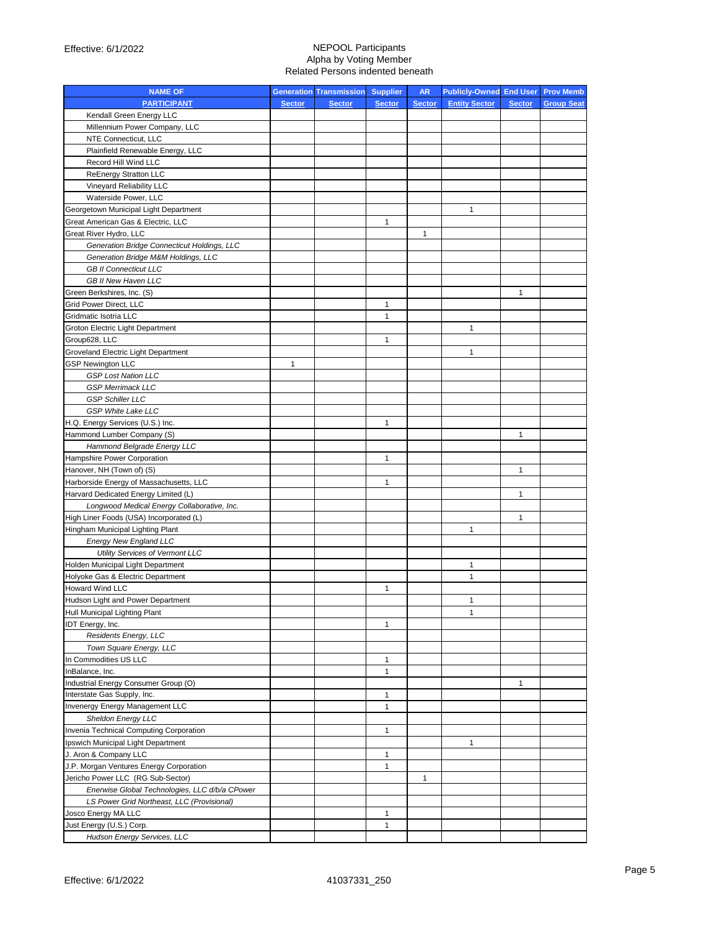| <b>NAME OF</b>                                 |               | <b>Generation Transmission Supplier</b> |               | <b>AR</b>     | Publicly-Owned End User Prov Memb |               |                   |
|------------------------------------------------|---------------|-----------------------------------------|---------------|---------------|-----------------------------------|---------------|-------------------|
| <b>PARTICIPANT</b>                             | <b>Sector</b> | <b>Sector</b>                           | <b>Sector</b> | <b>Sector</b> | <b>Entity Sector</b>              | <b>Sector</b> | <b>Group Seat</b> |
| Kendall Green Energy LLC                       |               |                                         |               |               |                                   |               |                   |
| Millennium Power Company, LLC                  |               |                                         |               |               |                                   |               |                   |
| NTE Connecticut, LLC                           |               |                                         |               |               |                                   |               |                   |
| Plainfield Renewable Energy, LLC               |               |                                         |               |               |                                   |               |                   |
| Record Hill Wind LLC                           |               |                                         |               |               |                                   |               |                   |
| ReEnergy Stratton LLC                          |               |                                         |               |               |                                   |               |                   |
| Vineyard Reliability LLC                       |               |                                         |               |               |                                   |               |                   |
| Waterside Power, LLC                           |               |                                         |               |               |                                   |               |                   |
| Georgetown Municipal Light Department          |               |                                         |               |               | $\mathbf{1}$                      |               |                   |
| Great American Gas & Electric, LLC             |               |                                         | 1             |               |                                   |               |                   |
| Great River Hydro, LLC                         |               |                                         |               | 1             |                                   |               |                   |
| Generation Bridge Connecticut Holdings, LLC    |               |                                         |               |               |                                   |               |                   |
| Generation Bridge M&M Holdings, LLC            |               |                                         |               |               |                                   |               |                   |
| <b>GB II Connecticut LLC</b>                   |               |                                         |               |               |                                   |               |                   |
| GB II New Haven LLC                            |               |                                         |               |               |                                   |               |                   |
| Green Berkshires, Inc. (S)                     |               |                                         |               |               |                                   | $\mathbf{1}$  |                   |
| Grid Power Direct, LLC                         |               |                                         | 1             |               |                                   |               |                   |
| Gridmatic Isotria LLC                          |               |                                         | 1             |               |                                   |               |                   |
| Groton Electric Light Department               |               |                                         |               |               | 1                                 |               |                   |
| Group628, LLC                                  |               |                                         | $\mathbf{1}$  |               |                                   |               |                   |
| Groveland Electric Light Department            |               |                                         |               |               | 1                                 |               |                   |
| <b>GSP Newington LLC</b>                       | $\mathbf{1}$  |                                         |               |               |                                   |               |                   |
| <b>GSP Lost Nation LLC</b>                     |               |                                         |               |               |                                   |               |                   |
| <b>GSP Merrimack LLC</b>                       |               |                                         |               |               |                                   |               |                   |
| <b>GSP Schiller LLC</b>                        |               |                                         |               |               |                                   |               |                   |
| <b>GSP White Lake LLC</b>                      |               |                                         |               |               |                                   |               |                   |
| H.Q. Energy Services (U.S.) Inc.               |               |                                         | $\mathbf{1}$  |               |                                   |               |                   |
| Hammond Lumber Company (S)                     |               |                                         |               |               |                                   | 1             |                   |
| Hammond Belgrade Energy LLC                    |               |                                         |               |               |                                   |               |                   |
| Hampshire Power Corporation                    |               |                                         | $\mathbf{1}$  |               |                                   |               |                   |
| Hanover, NH (Town of) (S)                      |               |                                         |               |               |                                   | $\mathbf{1}$  |                   |
| Harborside Energy of Massachusetts, LLC        |               |                                         | $\mathbf{1}$  |               |                                   |               |                   |
| Harvard Dedicated Energy Limited (L)           |               |                                         |               |               |                                   | 1             |                   |
| Longwood Medical Energy Collaborative, Inc.    |               |                                         |               |               |                                   |               |                   |
| High Liner Foods (USA) Incorporated (L)        |               |                                         |               |               |                                   | 1             |                   |
| Hingham Municipal Lighting Plant               |               |                                         |               |               | 1                                 |               |                   |
| Energy New England LLC                         |               |                                         |               |               |                                   |               |                   |
| Utility Services of Vermont LLC                |               |                                         |               |               |                                   |               |                   |
| Holden Municipal Light Department              |               |                                         |               |               | 1                                 |               |                   |
| Holyoke Gas & Electric Department              |               |                                         |               |               | $\mathbf{1}$                      |               |                   |
| Howard Wind LLC                                |               |                                         | $\mathbf{1}$  |               |                                   |               |                   |
| Hudson Light and Power Department              |               |                                         |               |               | 1                                 |               |                   |
| Hull Municipal Lighting Plant                  |               |                                         |               |               | $\mathbf{1}$                      |               |                   |
| IDT Energy, Inc.                               |               |                                         | $\mathbf{1}$  |               |                                   |               |                   |
| Residents Energy, LLC                          |               |                                         |               |               |                                   |               |                   |
| Town Square Energy, LLC                        |               |                                         |               |               |                                   |               |                   |
| In Commodities US LLC                          |               |                                         | $\mathbf{1}$  |               |                                   |               |                   |
| InBalance, Inc.                                |               |                                         | $\mathbf{1}$  |               |                                   |               |                   |
| Industrial Energy Consumer Group (O)           |               |                                         |               |               |                                   | 1             |                   |
| Interstate Gas Supply, Inc.                    |               |                                         | $\mathbf{1}$  |               |                                   |               |                   |
| Invenergy Energy Management LLC                |               |                                         | $\mathbf{1}$  |               |                                   |               |                   |
| Sheldon Energy LLC                             |               |                                         |               |               |                                   |               |                   |
| Invenia Technical Computing Corporation        |               |                                         | $\mathbf{1}$  |               |                                   |               |                   |
| Ipswich Municipal Light Department             |               |                                         |               |               | $\mathbf{1}$                      |               |                   |
| J. Aron & Company LLC                          |               |                                         | $\mathbf{1}$  |               |                                   |               |                   |
| J.P. Morgan Ventures Energy Corporation        |               |                                         | $\mathbf{1}$  |               |                                   |               |                   |
| Jericho Power LLC (RG Sub-Sector)              |               |                                         |               | $\mathbf{1}$  |                                   |               |                   |
| Enerwise Global Technologies, LLC d/b/a CPower |               |                                         |               |               |                                   |               |                   |
| LS Power Grid Northeast, LLC (Provisional)     |               |                                         |               |               |                                   |               |                   |
| Josco Energy MA LLC                            |               |                                         | $\mathbf{1}$  |               |                                   |               |                   |
| Just Energy (U.S.) Corp.                       |               |                                         | $\mathbf{1}$  |               |                                   |               |                   |
| Hudson Energy Services, LLC                    |               |                                         |               |               |                                   |               |                   |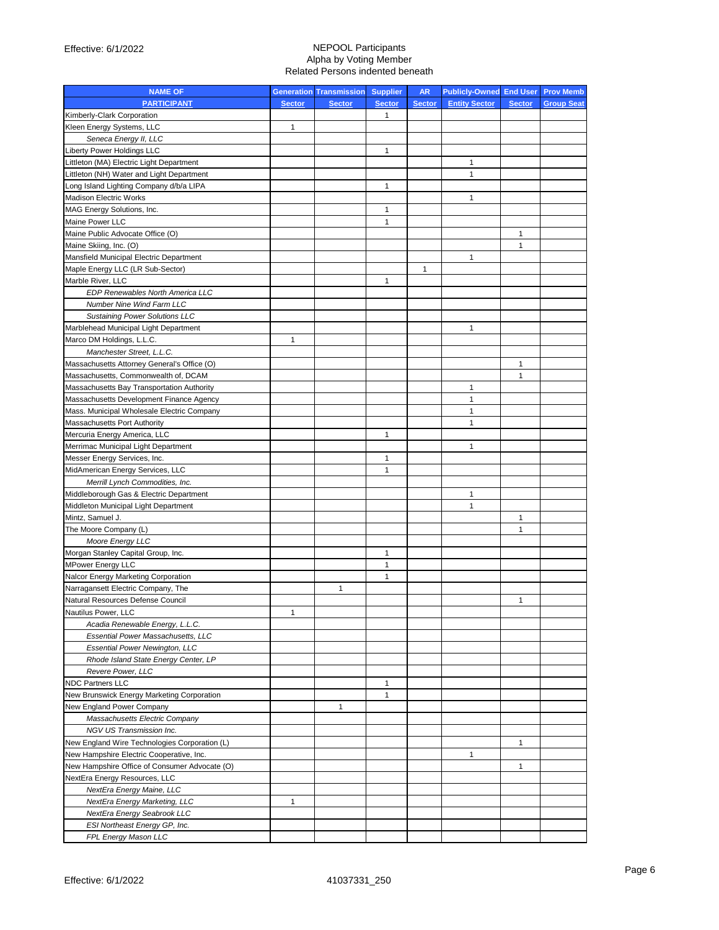| <b>NAME OF</b>                                             |               | <b>Generation Transmission</b> | <b>Supplier</b>   | <b>AR</b>     | <b>Publicly-Owned End User Prov Memb</b> |               |                   |
|------------------------------------------------------------|---------------|--------------------------------|-------------------|---------------|------------------------------------------|---------------|-------------------|
| <b>PARTICIPANT</b>                                         | <b>Sector</b> | <b>Sector</b>                  | <b>Sector</b>     | <b>Sector</b> | <b>Entity Sector</b>                     | <b>Sector</b> | <b>Group Seat</b> |
| Kimberly-Clark Corporation                                 |               |                                | 1                 |               |                                          |               |                   |
| Kleen Energy Systems, LLC                                  | 1             |                                |                   |               |                                          |               |                   |
| Seneca Energy II, LLC                                      |               |                                |                   |               |                                          |               |                   |
| Liberty Power Holdings LLC                                 |               |                                | 1                 |               |                                          |               |                   |
| Littleton (MA) Electric Light Department                   |               |                                |                   |               | 1                                        |               |                   |
| Littleton (NH) Water and Light Department                  |               |                                |                   |               | 1                                        |               |                   |
| Long Island Lighting Company d/b/a LIPA                    |               |                                | 1                 |               |                                          |               |                   |
| <b>Madison Electric Works</b>                              |               |                                |                   |               | 1                                        |               |                   |
| MAG Energy Solutions, Inc.                                 |               |                                | 1                 |               |                                          |               |                   |
| Maine Power LLC                                            |               |                                | 1                 |               |                                          |               |                   |
| Maine Public Advocate Office (O)                           |               |                                |                   |               |                                          | $\mathbf{1}$  |                   |
| Maine Skiing, Inc. (O)                                     |               |                                |                   |               |                                          | 1             |                   |
| Mansfield Municipal Electric Department                    |               |                                |                   |               | 1                                        |               |                   |
| Maple Energy LLC (LR Sub-Sector)                           |               |                                |                   | $\mathbf{1}$  |                                          |               |                   |
| Marble River, LLC                                          |               |                                | 1                 |               |                                          |               |                   |
| EDP Renewables North America LLC                           |               |                                |                   |               |                                          |               |                   |
| Number Nine Wind Farm LLC                                  |               |                                |                   |               |                                          |               |                   |
| <b>Sustaining Power Solutions LLC</b>                      |               |                                |                   |               |                                          |               |                   |
| Marblehead Municipal Light Department                      |               |                                |                   |               | 1                                        |               |                   |
| Marco DM Holdings, L.L.C.                                  | 1             |                                |                   |               |                                          |               |                   |
| Manchester Street, L.L.C.                                  |               |                                |                   |               |                                          |               |                   |
| Massachusetts Attorney General's Office (O)                |               |                                |                   |               |                                          | 1             |                   |
| Massachusetts, Commonwealth of, DCAM                       |               |                                |                   |               |                                          | 1             |                   |
| Massachusetts Bay Transportation Authority                 |               |                                |                   |               | 1                                        |               |                   |
| Massachusetts Development Finance Agency                   |               |                                |                   |               | $\mathbf{1}$                             |               |                   |
| Mass. Municipal Wholesale Electric Company                 |               |                                |                   |               | 1                                        |               |                   |
| <b>Massachusetts Port Authority</b>                        |               |                                |                   |               | 1                                        |               |                   |
| Mercuria Energy America, LLC                               |               |                                | 1                 |               |                                          |               |                   |
| Merrimac Municipal Light Department                        |               |                                |                   |               | 1                                        |               |                   |
| Messer Energy Services, Inc.                               |               |                                | 1                 |               |                                          |               |                   |
| MidAmerican Energy Services, LLC                           |               |                                | 1                 |               |                                          |               |                   |
| Merrill Lynch Commodities, Inc.                            |               |                                |                   |               |                                          |               |                   |
| Middleborough Gas & Electric Department                    |               |                                |                   |               | 1                                        |               |                   |
| Middleton Municipal Light Department                       |               |                                |                   |               | 1                                        |               |                   |
| Mintz, Samuel J.                                           |               |                                |                   |               |                                          | 1             |                   |
| The Moore Company (L)                                      |               |                                |                   |               |                                          | 1             |                   |
| <b>Moore Energy LLC</b>                                    |               |                                |                   |               |                                          |               |                   |
| Morgan Stanley Capital Group, Inc.                         |               |                                | 1                 |               |                                          |               |                   |
| <b>MPower Energy LLC</b>                                   |               |                                | 1                 |               |                                          |               |                   |
| Nalcor Energy Marketing Corporation                        |               |                                | 1                 |               |                                          |               |                   |
| Narragansett Electric Company, The                         |               | 1                              |                   |               |                                          |               |                   |
| Natural Resources Defense Council                          |               |                                |                   |               |                                          | 1             |                   |
| Nautilus Power, LLC                                        |               |                                |                   |               |                                          |               |                   |
| Acadia Renewable Energy, L.L.C.                            |               |                                |                   |               |                                          |               |                   |
| <b>Essential Power Massachusetts, LLC</b>                  |               |                                |                   |               |                                          |               |                   |
| <b>Essential Power Newington, LLC</b>                      |               |                                |                   |               |                                          |               |                   |
| Rhode Island State Energy Center, LP                       |               |                                |                   |               |                                          |               |                   |
| Revere Power, LLC                                          |               |                                |                   |               |                                          |               |                   |
| <b>NDC Partners LLC</b>                                    |               |                                | 1<br>$\mathbf{1}$ |               |                                          |               |                   |
| New Brunswick Energy Marketing Corporation                 |               |                                |                   |               |                                          |               |                   |
| New England Power Company                                  |               | 1                              |                   |               |                                          |               |                   |
| Massachusetts Electric Company<br>NGV US Transmission Inc. |               |                                |                   |               |                                          |               |                   |
| New England Wire Technologies Corporation (L)              |               |                                |                   |               |                                          | $\mathbf{1}$  |                   |
| New Hampshire Electric Cooperative, Inc.                   |               |                                |                   |               | 1                                        |               |                   |
| New Hampshire Office of Consumer Advocate (O)              |               |                                |                   |               |                                          | 1             |                   |
| NextEra Energy Resources, LLC                              |               |                                |                   |               |                                          |               |                   |
| NextEra Energy Maine, LLC                                  |               |                                |                   |               |                                          |               |                   |
| NextEra Energy Marketing, LLC                              | 1             |                                |                   |               |                                          |               |                   |
| NextEra Energy Seabrook LLC                                |               |                                |                   |               |                                          |               |                   |
| ESI Northeast Energy GP, Inc.                              |               |                                |                   |               |                                          |               |                   |
| FPL Energy Mason LLC                                       |               |                                |                   |               |                                          |               |                   |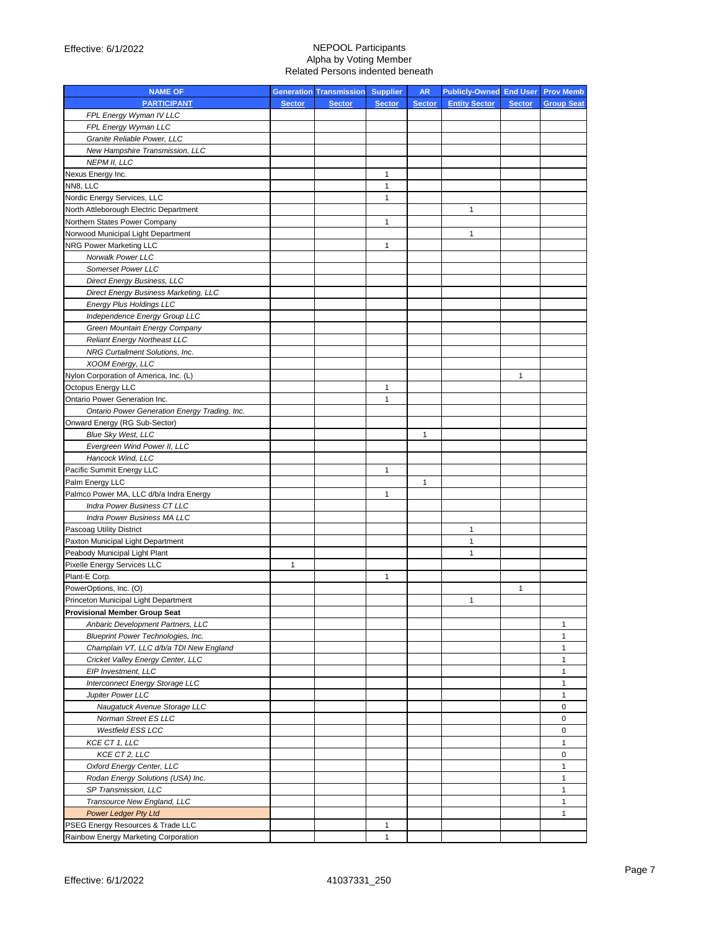| <b>NAME OF</b>                                                     |               | <b>Generation Transmission Supplier</b> |                   | <b>AR</b>     | <b>Publicly-Owned End User Prov Memb</b> |               |                   |
|--------------------------------------------------------------------|---------------|-----------------------------------------|-------------------|---------------|------------------------------------------|---------------|-------------------|
| <b>PARTICIPANT</b>                                                 | <b>Sector</b> | <b>Sector</b>                           | <b>Sector</b>     | <b>Sector</b> | <b>Entity Sector</b>                     | <b>Sector</b> | <b>Group Seat</b> |
| FPL Energy Wyman IV LLC                                            |               |                                         |                   |               |                                          |               |                   |
| FPL Energy Wyman LLC                                               |               |                                         |                   |               |                                          |               |                   |
| Granite Reliable Power, LLC                                        |               |                                         |                   |               |                                          |               |                   |
| New Hampshire Transmission, LLC                                    |               |                                         |                   |               |                                          |               |                   |
| <b>NEPM II, LLC</b>                                                |               |                                         |                   |               |                                          |               |                   |
| Nexus Energy Inc.                                                  |               |                                         | $\mathbf{1}$      |               |                                          |               |                   |
| NN8, LLC                                                           |               |                                         | 1                 |               |                                          |               |                   |
| Nordic Energy Services, LLC                                        |               |                                         | 1                 |               |                                          |               |                   |
| North Attleborough Electric Department                             |               |                                         |                   |               | 1                                        |               |                   |
| Northern States Power Company                                      |               |                                         | $\mathbf{1}$      |               |                                          |               |                   |
| Norwood Municipal Light Department                                 |               |                                         |                   |               | $\mathbf{1}$                             |               |                   |
| <b>NRG Power Marketing LLC</b>                                     |               |                                         | 1                 |               |                                          |               |                   |
| Norwalk Power LLC                                                  |               |                                         |                   |               |                                          |               |                   |
| Somerset Power LLC                                                 |               |                                         |                   |               |                                          |               |                   |
| Direct Energy Business, LLC                                        |               |                                         |                   |               |                                          |               |                   |
| Direct Energy Business Marketing, LLC                              |               |                                         |                   |               |                                          |               |                   |
| <b>Energy Plus Holdings LLC</b>                                    |               |                                         |                   |               |                                          |               |                   |
| Independence Energy Group LLC                                      |               |                                         |                   |               |                                          |               |                   |
| Green Mountain Energy Company                                      |               |                                         |                   |               |                                          |               |                   |
| <b>Reliant Energy Northeast LLC</b>                                |               |                                         |                   |               |                                          |               |                   |
| NRG Curtailment Solutions, Inc.                                    |               |                                         |                   |               |                                          |               |                   |
| XOOM Energy, LLC                                                   |               |                                         |                   |               |                                          |               |                   |
| Nylon Corporation of America, Inc. (L)                             |               |                                         |                   |               |                                          | 1             |                   |
| Octopus Energy LLC                                                 |               |                                         | 1                 |               |                                          |               |                   |
| Ontario Power Generation Inc.                                      |               |                                         | 1                 |               |                                          |               |                   |
| Ontario Power Generation Energy Trading, Inc.                      |               |                                         |                   |               |                                          |               |                   |
| Onward Energy (RG Sub-Sector)                                      |               |                                         |                   |               |                                          |               |                   |
| <b>Blue Sky West, LLC</b>                                          |               |                                         |                   | 1             |                                          |               |                   |
| Evergreen Wind Power II, LLC                                       |               |                                         |                   |               |                                          |               |                   |
| Hancock Wind, LLC                                                  |               |                                         |                   |               |                                          |               |                   |
| Pacific Summit Energy LLC                                          |               |                                         | $\mathbf{1}$      |               |                                          |               |                   |
| Palm Energy LLC                                                    |               |                                         |                   | 1             |                                          |               |                   |
| Palmco Power MA, LLC d/b/a Indra Energy                            |               |                                         | 1                 |               |                                          |               |                   |
| Indra Power Business CT LLC                                        |               |                                         |                   |               |                                          |               |                   |
| Indra Power Business MA LLC                                        |               |                                         |                   |               |                                          |               |                   |
| Pascoag Utility District                                           |               |                                         |                   |               | $\mathbf{1}$                             |               |                   |
|                                                                    |               |                                         |                   |               | 1                                        |               |                   |
| Paxton Municipal Light Department<br>Peabody Municipal Light Plant |               |                                         |                   |               | $\mathbf{1}$                             |               |                   |
| Pixelle Energy Services LLC                                        | $\mathbf{1}$  |                                         |                   |               |                                          |               |                   |
| Plant-E Corp.                                                      |               |                                         | 1                 |               |                                          |               |                   |
| PowerOptions, Inc. (O)                                             |               |                                         |                   |               |                                          | 1             |                   |
| Princeton Municipal Light Department                               |               |                                         |                   |               | $\mathbf{1}$                             |               |                   |
| <b>Provisional Member Group Seat</b>                               |               |                                         |                   |               |                                          |               |                   |
| Anbaric Development Partners, LLC                                  |               |                                         |                   |               |                                          |               | 1                 |
| Blueprint Power Technologies, Inc.                                 |               |                                         |                   |               |                                          |               | 1                 |
| Champlain VT, LLC d/b/a TDI New England                            |               |                                         |                   |               |                                          |               | 1                 |
| Cricket Valley Energy Center, LLC                                  |               |                                         |                   |               |                                          |               | $\mathbf{1}$      |
| EIP Investment, LLC                                                |               |                                         |                   |               |                                          |               | $\mathbf{1}$      |
| Interconnect Energy Storage LLC                                    |               |                                         |                   |               |                                          |               | $\mathbf{1}$      |
| Jupiter Power LLC                                                  |               |                                         |                   |               |                                          |               | $\mathbf{1}$      |
| Naugatuck Avenue Storage LLC                                       |               |                                         |                   |               |                                          |               | 0                 |
| Norman Street ES LLC                                               |               |                                         |                   |               |                                          |               | 0                 |
| <b>Westfield ESS LCC</b>                                           |               |                                         |                   |               |                                          |               | 0                 |
| KCE CT 1, LLC                                                      |               |                                         |                   |               |                                          |               | $\mathbf{1}$      |
| KCE CT 2, LLC                                                      |               |                                         |                   |               |                                          |               | 0                 |
| Oxford Energy Center, LLC                                          |               |                                         |                   |               |                                          |               | $\mathbf{1}$      |
| Rodan Energy Solutions (USA) Inc.                                  |               |                                         |                   |               |                                          |               | $\mathbf{1}$      |
|                                                                    |               |                                         |                   |               |                                          |               | 1                 |
| SP Transmission, LLC<br>Transource New England, LLC                |               |                                         |                   |               |                                          |               | $\mathbf{1}$      |
|                                                                    |               |                                         |                   |               |                                          |               | $\mathbf{1}$      |
| <b>Power Ledger Pty Ltd</b>                                        |               |                                         |                   |               |                                          |               |                   |
| PSEG Energy Resources & Trade LLC                                  |               |                                         | 1<br>$\mathbf{1}$ |               |                                          |               |                   |
| Rainbow Energy Marketing Corporation                               |               |                                         |                   |               |                                          |               |                   |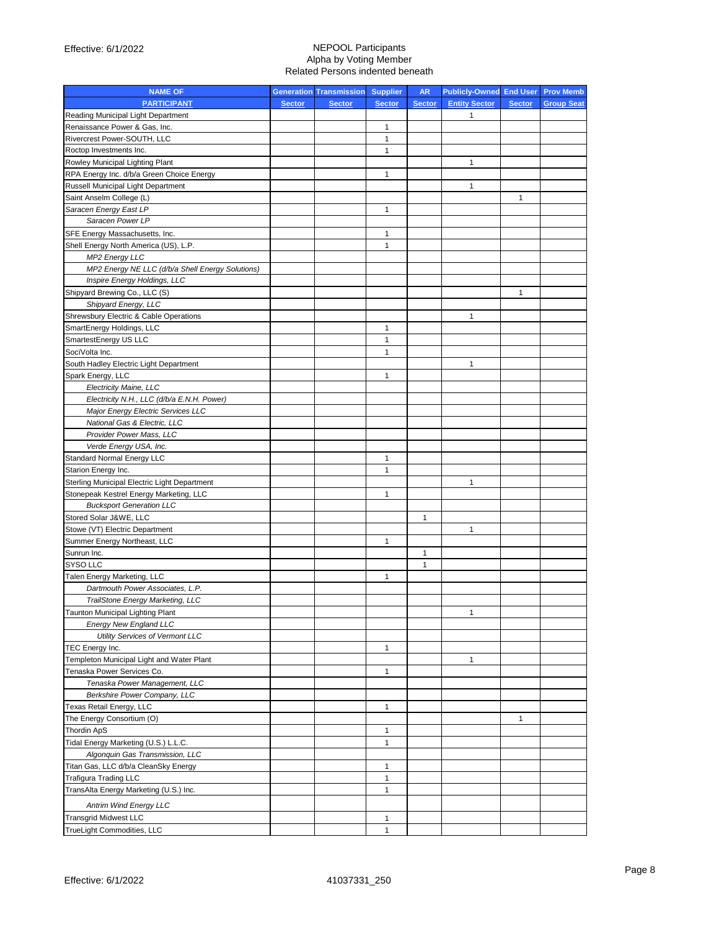| <b>NAME OF</b>                                                             |               | <b>Generation Transmission Supplier</b> |               | <b>AR</b>     | <b>Publicly-Owned End User Prov Memb</b> |               |                   |
|----------------------------------------------------------------------------|---------------|-----------------------------------------|---------------|---------------|------------------------------------------|---------------|-------------------|
| <b>PARTICIPANT</b>                                                         | <b>Sector</b> | <b>Sector</b>                           | <b>Sector</b> | <b>Sector</b> | <b>Entity Sector</b>                     | <b>Sector</b> | <b>Group Seat</b> |
| Reading Municipal Light Department                                         |               |                                         |               |               | 1                                        |               |                   |
| Renaissance Power & Gas, Inc.                                              |               |                                         | 1             |               |                                          |               |                   |
| Rivercrest Power-SOUTH, LLC                                                |               |                                         | $\mathbf{1}$  |               |                                          |               |                   |
| Roctop Investments Inc.                                                    |               |                                         | $\mathbf{1}$  |               |                                          |               |                   |
| Rowley Municipal Lighting Plant                                            |               |                                         |               |               | 1                                        |               |                   |
| RPA Energy Inc. d/b/a Green Choice Energy                                  |               |                                         | $\mathbf{1}$  |               |                                          |               |                   |
| Russell Municipal Light Department                                         |               |                                         |               |               | 1                                        |               |                   |
| Saint Anselm College (L)                                                   |               |                                         |               |               |                                          | 1             |                   |
| Saracen Energy East LP                                                     |               |                                         | 1             |               |                                          |               |                   |
| Saracen Power LP                                                           |               |                                         |               |               |                                          |               |                   |
| SFE Energy Massachusetts, Inc.                                             |               |                                         | 1             |               |                                          |               |                   |
| Shell Energy North America (US), L.P.                                      |               |                                         | $\mathbf{1}$  |               |                                          |               |                   |
| <b>MP2 Energy LLC</b>                                                      |               |                                         |               |               |                                          |               |                   |
| MP2 Energy NE LLC (d/b/a Shell Energy Solutions)                           |               |                                         |               |               |                                          |               |                   |
| Inspire Energy Holdings, LLC                                               |               |                                         |               |               |                                          |               |                   |
| Shipyard Brewing Co., LLC (S)                                              |               |                                         |               |               |                                          | $\mathbf{1}$  |                   |
| Shipyard Energy, LLC                                                       |               |                                         |               |               |                                          |               |                   |
| Shrewsbury Electric & Cable Operations                                     |               |                                         |               |               | 1                                        |               |                   |
| SmartEnergy Holdings, LLC                                                  |               |                                         | $\mathbf{1}$  |               |                                          |               |                   |
| SmartestEnergy US LLC                                                      |               |                                         | $\mathbf{1}$  |               |                                          |               |                   |
| SocïVolta Inc.                                                             |               |                                         | $\mathbf{1}$  |               |                                          |               |                   |
| South Hadley Electric Light Department                                     |               |                                         |               |               | $\mathbf{1}$                             |               |                   |
| Spark Energy, LLC                                                          |               |                                         | $\mathbf{1}$  |               |                                          |               |                   |
| <b>Electricity Maine, LLC</b>                                              |               |                                         |               |               |                                          |               |                   |
| Electricity N.H., LLC (d/b/a E.N.H. Power)                                 |               |                                         |               |               |                                          |               |                   |
| Major Energy Electric Services LLC                                         |               |                                         |               |               |                                          |               |                   |
| National Gas & Electric, LLC                                               |               |                                         |               |               |                                          |               |                   |
| Provider Power Mass, LLC                                                   |               |                                         |               |               |                                          |               |                   |
| Verde Energy USA, Inc.                                                     |               |                                         |               |               |                                          |               |                   |
| Standard Normal Energy LLC                                                 |               |                                         | 1             |               |                                          |               |                   |
|                                                                            |               |                                         | $\mathbf{1}$  |               |                                          |               |                   |
| Starion Energy Inc.                                                        |               |                                         |               |               | 1                                        |               |                   |
| Sterling Municipal Electric Light Department                               |               |                                         | 1             |               |                                          |               |                   |
| Stonepeak Kestrel Energy Marketing, LLC<br><b>Bucksport Generation LLC</b> |               |                                         |               |               |                                          |               |                   |
|                                                                            |               |                                         |               |               |                                          |               |                   |
| Stored Solar J&WE, LLC                                                     |               |                                         |               | 1             |                                          |               |                   |
| Stowe (VT) Electric Department                                             |               |                                         |               |               | 1                                        |               |                   |
| Summer Energy Northeast, LLC                                               |               |                                         | 1             |               |                                          |               |                   |
| Sunrun Inc.                                                                |               |                                         |               | 1             |                                          |               |                   |
| SYSO LLC                                                                   |               |                                         |               | 1             |                                          |               |                   |
| Talen Energy Marketing, LLC                                                |               |                                         | 1             |               |                                          |               |                   |
| Dartmouth Power Associates, L.P.                                           |               |                                         |               |               |                                          |               |                   |
| TrailStone Energy Marketing, LLC                                           |               |                                         |               |               |                                          |               |                   |
| Taunton Municipal Lighting Plant                                           |               |                                         |               |               |                                          |               |                   |
| <b>Energy New England LLC</b>                                              |               |                                         |               |               |                                          |               |                   |
| <b>Utility Services of Vermont LLC</b>                                     |               |                                         |               |               |                                          |               |                   |
| TEC Energy Inc.                                                            |               |                                         | $\mathbf{1}$  |               |                                          |               |                   |
| Templeton Municipal Light and Water Plant                                  |               |                                         |               |               | $\mathbf{1}$                             |               |                   |
| Tenaska Power Services Co.                                                 |               |                                         | $\mathbf{1}$  |               |                                          |               |                   |
| Tenaska Power Management, LLC                                              |               |                                         |               |               |                                          |               |                   |
| Berkshire Power Company, LLC                                               |               |                                         |               |               |                                          |               |                   |
| Texas Retail Energy, LLC                                                   |               |                                         | $\mathbf{1}$  |               |                                          |               |                   |
| The Energy Consortium (O)                                                  |               |                                         |               |               |                                          | 1             |                   |
| <b>Thordin ApS</b>                                                         |               |                                         | $\mathbf{1}$  |               |                                          |               |                   |
| Tidal Energy Marketing (U.S.) L.L.C.                                       |               |                                         | $\mathbf{1}$  |               |                                          |               |                   |
| Algonquin Gas Transmission, LLC                                            |               |                                         |               |               |                                          |               |                   |
| Titan Gas, LLC d/b/a CleanSky Energy                                       |               |                                         | $\mathbf{1}$  |               |                                          |               |                   |
| <b>Trafigura Trading LLC</b>                                               |               |                                         | $\mathbf{1}$  |               |                                          |               |                   |
| TransAlta Energy Marketing (U.S.) Inc.                                     |               |                                         | 1             |               |                                          |               |                   |
| <b>Antrim Wind Energy LLC</b>                                              |               |                                         |               |               |                                          |               |                   |
| <b>Transgrid Midwest LLC</b>                                               |               |                                         | 1             |               |                                          |               |                   |
| TrueLight Commodities, LLC                                                 |               |                                         | 1             |               |                                          |               |                   |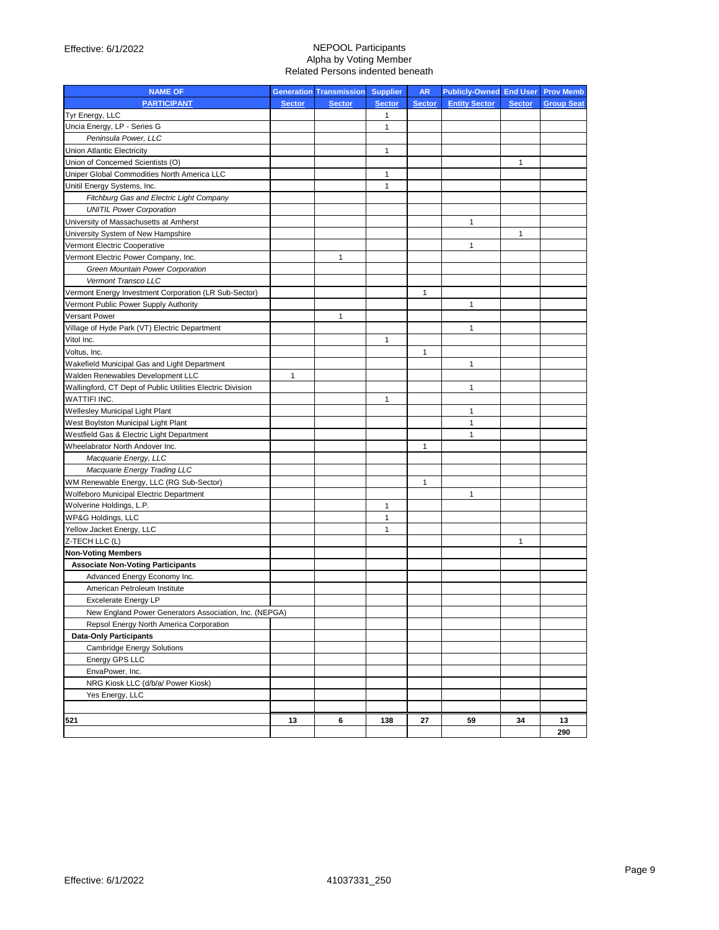| <b>NAME OF</b>                                                               |               | <b>Generation Transmission</b> | <b>Supplier</b> | <b>AR</b>     | <b>Publicly-Owned End User</b> |               | <b>Prov Memb</b>  |
|------------------------------------------------------------------------------|---------------|--------------------------------|-----------------|---------------|--------------------------------|---------------|-------------------|
| <b>PARTICIPANT</b>                                                           | <b>Sector</b> | <b>Sector</b>                  | <b>Sector</b>   | <b>Sector</b> | <b>Entity Sector</b>           | <b>Sector</b> | <b>Group Seat</b> |
| Tyr Energy, LLC                                                              |               |                                | 1               |               |                                |               |                   |
| Uncia Energy, LP - Series G                                                  |               |                                | 1               |               |                                |               |                   |
| Peninsula Power, LLC                                                         |               |                                |                 |               |                                |               |                   |
| <b>Union Atlantic Electricity</b>                                            |               |                                | 1               |               |                                |               |                   |
| Union of Concerned Scientists (O)                                            |               |                                |                 |               |                                | 1             |                   |
| Uniper Global Commodities North America LLC                                  |               |                                | 1               |               |                                |               |                   |
| Unitil Energy Systems, Inc.                                                  |               |                                | 1               |               |                                |               |                   |
| Fitchburg Gas and Electric Light Company                                     |               |                                |                 |               |                                |               |                   |
| <b>UNITIL Power Corporation</b>                                              |               |                                |                 |               |                                |               |                   |
| University of Massachusetts at Amherst                                       |               |                                |                 |               | $\mathbf{1}$                   |               |                   |
| University System of New Hampshire                                           |               |                                |                 |               |                                | 1             |                   |
| Vermont Electric Cooperative                                                 |               |                                |                 |               | $\mathbf{1}$                   |               |                   |
| Vermont Electric Power Company, Inc.                                         |               | $\mathbf{1}$                   |                 |               |                                |               |                   |
| Green Mountain Power Corporation                                             |               |                                |                 |               |                                |               |                   |
| Vermont Transco LLC                                                          |               |                                |                 |               |                                |               |                   |
| Vermont Energy Investment Corporation (LR Sub-Sector)                        |               |                                |                 | 1             |                                |               |                   |
| Vermont Public Power Supply Authority                                        |               |                                |                 |               | 1                              |               |                   |
| <b>Versant Power</b>                                                         |               | 1                              |                 |               |                                |               |                   |
| Village of Hyde Park (VT) Electric Department                                |               |                                |                 |               | $\mathbf{1}$                   |               |                   |
| Vitol Inc.                                                                   |               |                                | 1               |               |                                |               |                   |
| Voltus, Inc.                                                                 |               |                                |                 | 1             |                                |               |                   |
| Wakefield Municipal Gas and Light Department                                 |               |                                |                 |               | $\mathbf{1}$                   |               |                   |
| Walden Renewables Development LLC                                            | 1             |                                |                 |               |                                |               |                   |
|                                                                              |               |                                |                 |               | $\mathbf{1}$                   |               |                   |
| Wallingford, CT Dept of Public Utilities Electric Division                   |               |                                |                 |               |                                |               |                   |
| <b>WATTIFI INC.</b>                                                          |               |                                | 1               |               | $\mathbf{1}$                   |               |                   |
| Wellesley Municipal Light Plant                                              |               |                                |                 |               |                                |               |                   |
| West Boylston Municipal Light Plant                                          |               |                                |                 |               | $\mathbf{1}$                   |               |                   |
| Westfield Gas & Electric Light Department<br>Wheelabrator North Andover Inc. |               |                                |                 |               | $\mathbf{1}$                   |               |                   |
|                                                                              |               |                                |                 | 1             |                                |               |                   |
| Macquarie Energy, LLC                                                        |               |                                |                 |               |                                |               |                   |
| Macquarie Energy Trading LLC                                                 |               |                                |                 |               |                                |               |                   |
| WM Renewable Energy, LLC (RG Sub-Sector)                                     |               |                                |                 | 1             |                                |               |                   |
| Wolfeboro Municipal Electric Department                                      |               |                                |                 |               | $\mathbf{1}$                   |               |                   |
| Wolverine Holdings, L.P.                                                     |               |                                | 1               |               |                                |               |                   |
| WP&G Holdings, LLC                                                           |               |                                | $\mathbf{1}$    |               |                                |               |                   |
| Yellow Jacket Energy, LLC                                                    |               |                                | 1               |               |                                |               |                   |
| Z-TECH LLC (L)                                                               |               |                                |                 |               |                                | 1             |                   |
| <b>Non-Voting Members</b>                                                    |               |                                |                 |               |                                |               |                   |
| <b>Associate Non-Voting Participants</b>                                     |               |                                |                 |               |                                |               |                   |
| Advanced Energy Economy Inc.                                                 |               |                                |                 |               |                                |               |                   |
| American Petroleum Institute                                                 |               |                                |                 |               |                                |               |                   |
| <b>Excelerate Energy LP</b>                                                  |               |                                |                 |               |                                |               |                   |
| New England Power Generators Association, Inc. (NEPGA)                       |               |                                |                 |               |                                |               |                   |
| Repsol Energy North America Corporation                                      |               |                                |                 |               |                                |               |                   |
| <b>Data-Only Participants</b>                                                |               |                                |                 |               |                                |               |                   |
| <b>Cambridge Energy Solutions</b>                                            |               |                                |                 |               |                                |               |                   |
| Energy GPS LLC                                                               |               |                                |                 |               |                                |               |                   |
| EnvaPower, Inc.                                                              |               |                                |                 |               |                                |               |                   |
| NRG Kiosk LLC (d/b/a/ Power Kiosk)                                           |               |                                |                 |               |                                |               |                   |
| Yes Energy, LLC                                                              |               |                                |                 |               |                                |               |                   |
|                                                                              |               |                                |                 |               |                                |               |                   |
| 521                                                                          | 13            | 6                              | 138             | 27            | 59                             | 34            | 13                |
|                                                                              |               |                                |                 |               |                                |               | 290               |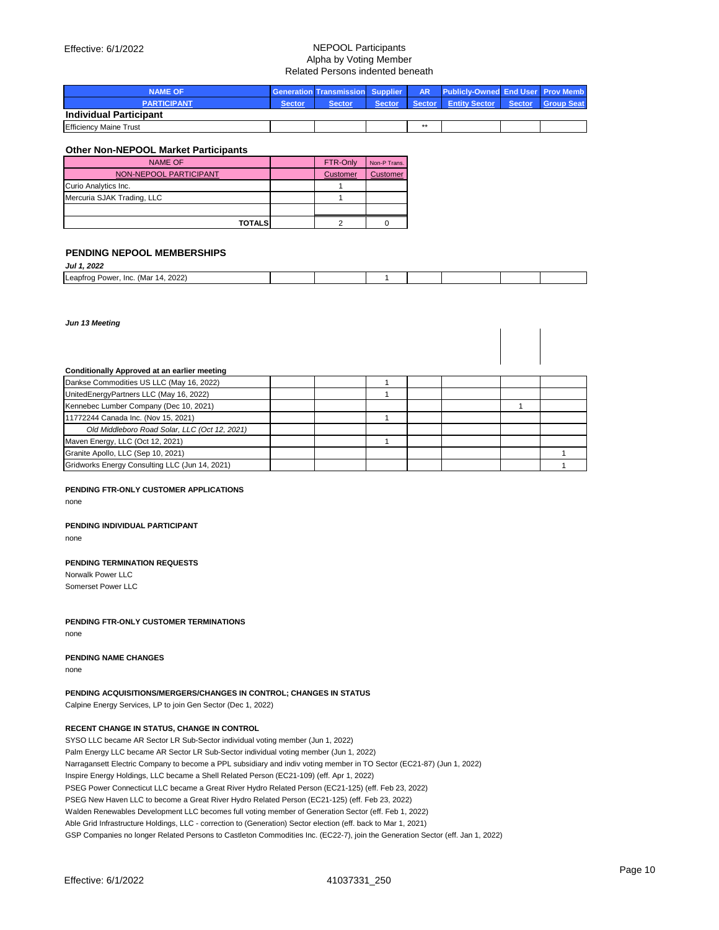| <b>NAME OF</b>                |               |               |        |      | <b>Generation Transmission Supplier   AR Publicly-Owned End User Prov Memb</b> |  |
|-------------------------------|---------------|---------------|--------|------|--------------------------------------------------------------------------------|--|
| <b>PARTICIPANT</b>            | <b>Sector</b> | <b>Sector</b> | Sector |      | Sector Entity Sector Sector Group Seat                                         |  |
| <b>Individual Participant</b> |               |               |        |      |                                                                                |  |
| <b>Efficiency Maine Trust</b> |               |               |        | $**$ |                                                                                |  |

## **Other Non-NEPOOL Market Participants**

| <b>NAME OF</b>             | FTR-Only | Non-P Trans. |
|----------------------------|----------|--------------|
| NON-NEPOOL PARTICIPANT     | Customer | Customer     |
| Curio Analytics Inc.       |          |              |
| Mercuria SJAK Trading, LLC |          |              |
|                            |          |              |
| <b>TOTALS</b>              |          |              |

#### **PENDING NEPOOL MEMBERSHIPS** *Jul 1, 2022*

| JUI I, ZUZZ                                              |  |  |  |  |
|----------------------------------------------------------|--|--|--|--|
| 2022)<br>Leapfrog<br>(Mar<br>Inc.<br>Power.<br>14<br>___ |  |  |  |  |

*Jun 13 Meeting*

#### **Conditionally Approved at an earlier meeting**

| Dankse Commodities US LLC (May 16, 2022)       |  |  |  |  |
|------------------------------------------------|--|--|--|--|
| UnitedEnergyPartners LLC (May 16, 2022)        |  |  |  |  |
| Kennebec Lumber Company (Dec 10, 2021)         |  |  |  |  |
| 11772244 Canada Inc. (Nov 15, 2021)            |  |  |  |  |
| Old Middleboro Road Solar, LLC (Oct 12, 2021)  |  |  |  |  |
| Maven Energy, LLC (Oct 12, 2021)               |  |  |  |  |
| Granite Apollo, LLC (Sep 10, 2021)             |  |  |  |  |
| Gridworks Energy Consulting LLC (Jun 14, 2021) |  |  |  |  |

### **PENDING FTR-ONLY CUSTOMER APPLICATIONS**

none

## **PENDING INDIVIDUAL PARTICIPANT**

none

### **PENDING TERMINATION REQUESTS**

Norwalk Power LLC Somerset Power LLC

### **PENDING FTR-ONLY CUSTOMER TERMINATIONS**

none

## **PENDING NAME CHANGES**

none

# **PENDING ACQUISITIONS/MERGERS/CHANGES IN CONTROL; CHANGES IN STATUS**

Calpine Energy Services, LP to join Gen Sector (Dec 1, 2022)

# **RECENT CHANGE IN STATUS, CHANGE IN CONTROL**

SYSO LLC became AR Sector LR Sub-Sector individual voting member (Jun 1, 2022) Palm Energy LLC became AR Sector LR Sub-Sector individual voting member (Jun 1, 2022) Narragansett Electric Company to become a PPL subsidiary and indiv voting member in TO Sector (EC21-87) (Jun 1, 2022) Inspire Energy Holdings, LLC became a Shell Related Person (EC21-109) (eff. Apr 1, 2022) PSEG Power Connecticut LLC became a Great River Hydro Related Person (EC21-125) (eff. Feb 23, 2022) PSEG New Haven LLC to become a Great River Hydro Related Person (EC21-125) (eff. Feb 23, 2022) Walden Renewables Development LLC becomes full voting member of Generation Sector (eff. Feb 1, 2022) Able Grid Infrastructure Holdings, LLC - correction to (Generation) Sector election (eff. back to Mar 1, 2021) GSP Companies no longer Related Persons to Castleton Commodities Inc. (EC22-7), join the Generation Sector (eff. Jan 1, 2022)